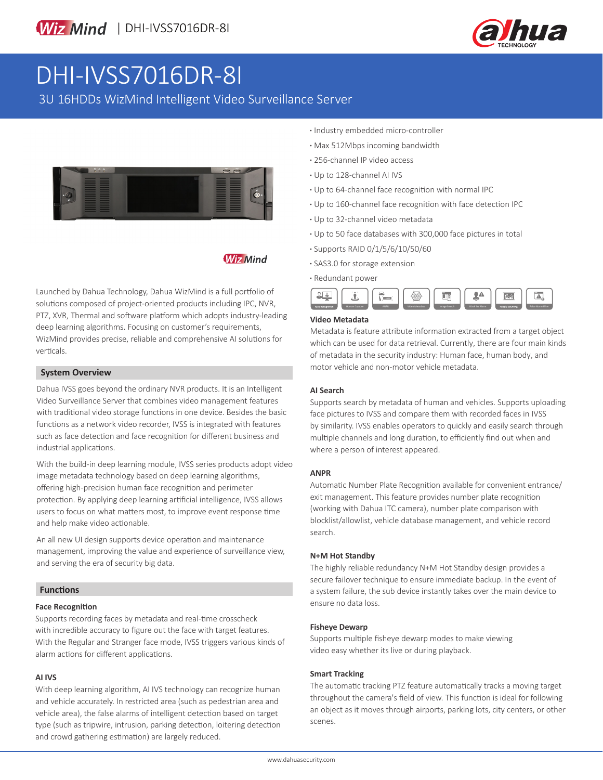

# DHI-IVSS7016DR-8I

3U 16HDDs WizMind Intelligent Video Surveillance Server



### **Wiz Mind**

Launched by Dahua Technology, Dahua WizMind is a full portfolio of solutions composed of project-oriented products including IPC, NVR, PTZ, XVR, Thermal and software platform which adopts industry-leading deep learning algorithms. Focusing on customer's requirements, WizMind provides precise, reliable and comprehensive AI solutions for verticals.

#### **System Overview**

Dahua IVSS goes beyond the ordinary NVR products. It is an Intelligent Video Surveillance Server that combines video management features with traditional video storage functions in one device. Besides the basic functions as a network video recorder, IVSS is integrated with features such as face detection and face recognition for different business and industrial applications.

With the build-in deep learning module, IVSS series products adopt video image metadata technology based on deep learning algorithms, offering high-precision human face recognition and perimeter protection. By applying deep learning artificial intelligence, IVSS allows users to focus on what matters most, to improve event response time and help make video actionable.

An all new UI design supports device operation and maintenance management, improving the value and experience of surveillance view, and serving the era of security big data.

#### **Functions**

#### **Face Recognition**

Supports recording faces by metadata and real-time crosscheck with incredible accuracy to figure out the face with target features. With the Regular and Stranger face mode, IVSS triggers various kinds of alarm actions for different applications.

#### **AI IVS**

With deep learning algorithm, AI IVS technology can recognize human and vehicle accurately. In restricted area (such as pedestrian area and vehicle area), the false alarms of intelligent detection based on target type (such as tripwire, intrusion, parking detection, loitering detection and crowd gathering estimation) are largely reduced.

- **·** Industry embedded micro-controller
- **·** Max 512Mbps incoming bandwidth
- **·** 256-channel IP video access
- **·** Up to 128-channel AI IVS
- **·** Up to 64-channel face recognition with normal IPC
- **·** Up to 160-channel face recognition with face detection IPC
- **·** Up to 32-channel video metadata
- **·** Up to 50 face databases with 300,000 face pictures in total
- **·** Supports RAID 0/1/5/6/10/50/60
- **·** SAS3.0 for storage extension
- **·** Redundant power



#### **Video Metadata**

Metadata is feature attribute information extracted from a target object which can be used for data retrieval. Currently, there are four main kinds of metadata in the security industry: Human face, human body, and motor vehicle and non-motor vehicle metadata.

#### **AI Search**

Supports search by metadata of human and vehicles. Supports uploading face pictures to IVSS and compare them with recorded faces in IVSS by similarity. IVSS enables operators to quickly and easily search through multiple channels and long duration, to efficiently find out when and where a person of interest appeared.

#### **ANPR**

Automatic Number Plate Recognition available for convenient entrance/ exit management. This feature provides number plate recognition (working with Dahua ITC camera), number plate comparison with blocklist/allowlist, vehicle database management, and vehicle record search.

#### **N+M Hot Standby**

The highly reliable redundancy N+M Hot Standby design provides a secure failover technique to ensure immediate backup. In the event of a system failure, the sub device instantly takes over the main device to ensure no data loss.

#### **Fisheye Dewarp**

Supports multiple fisheye dewarp modes to make viewing video easy whether its live or during playback.

#### **Smart Tracking**

The automatic tracking PTZ feature automatically tracks a moving target throughout the camera's field of view. This function is ideal for following an object as it moves through airports, parking lots, city centers, or other scenes.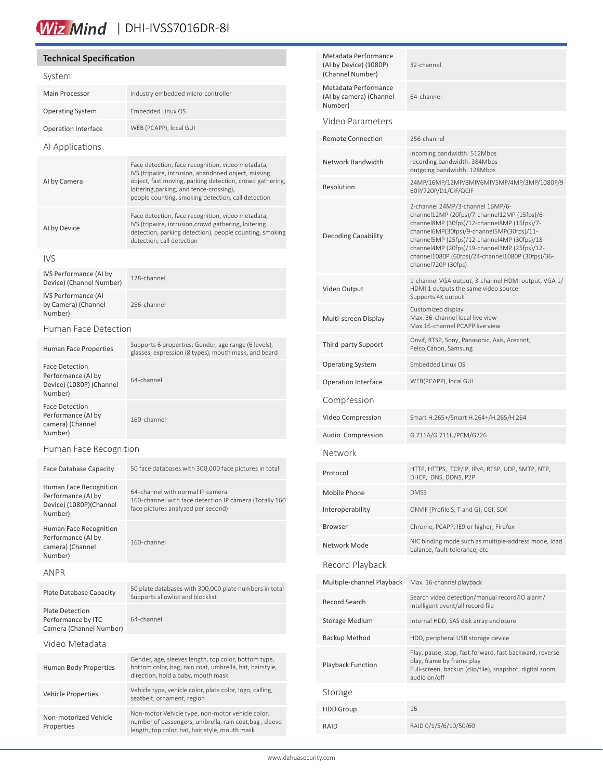# Miz Mind | DHI-IVSS7016DR-8I

#### **Technical Specification** System Main Processor **Industry embedded micro-controller** Operating System Embedded Linux OS Operation Interface WEB (PCAPP), local GUI AI Applications AI by Camera Face detection, face recognition, video metadata, IVS (tripwire, intrusion, abandoned object, missing object, fast moving, parking detection, crowd gathering, loitering,parking, and fence-crossing), people counting, smoking detection, call detection AI by Device Face detection, face recognition, video metadata, IVS (tripwire, intrusion,crowd gathering, loitering detection, parking detection), people counting, smoking detection, call detection IVS IVS Performance (AI by Device) (Channel Number) 128-channel IVS Performance (AI by Camera) (Channel Number) 256-channel Human Face Detection Supports 6 properties: Gender, age range (6 levels),<br>Human Face Properties glasses, expression (8 types), mouth mask, and beard Face Detection Performance (AI by Device) (1080P) (Channel Number) 64-channel Face Detection Performance (AI by camera) (Channel Number) 160-channel Human Face Recognition Face Database Capacity 50 face databases with 300,000 face pictures in total Human Face Recognition Performance (AI by Device) (1080P)(Channel Number) 64-channel with normal IP camera 160-channel with face detection IP camera (Totally 160 face pictures analyzed per second) Human Face Recognition Performance (AI by camera) (Channel Number) 160-channel ANPR Plate Database Capacity 50 plate databases with 300,000 plate numbers in total Supports allowlist and blocklist Plate Detection Performance by ITC Camera (Channel Number) 64-channel Video Metadata Human Body Properties Gender, age, sleeves length, top color, bottom type, bottom color, bag, rain coat, umbrella, hat, hairstyle, direction, hold a baby, mouth mask Vehicle Properties Vehicle type, vehicle color, plate color, logo, calling, seatbelt, ornament, region Non-motorized Vehicle Non-motor Vehicle type, non-motor vehicle color,

Properties

| Metadata Performance<br>(Al by Device) (1080P)<br>(Channel Number) | 32-channel                                                                                                                                                                                                                                                                                                                                              |
|--------------------------------------------------------------------|---------------------------------------------------------------------------------------------------------------------------------------------------------------------------------------------------------------------------------------------------------------------------------------------------------------------------------------------------------|
| Metadata Performance<br>(AI by camera) (Channel<br>Number)         | 64-channel                                                                                                                                                                                                                                                                                                                                              |
| Video Parameters                                                   |                                                                                                                                                                                                                                                                                                                                                         |
| <b>Remote Connection</b>                                           | 256-channel                                                                                                                                                                                                                                                                                                                                             |
| Network Bandwidth                                                  | Incoming bandwidth: 512Mbps<br>recording bandwidth: 384Mbps<br>outgoing bandwidth: 128Mbps                                                                                                                                                                                                                                                              |
| Resolution                                                         | 24MP/16MP/12MP/8MP/6MP/5MP/4MP/3MP/1080P/9<br>60P/720P/D1/CIF/QCIF                                                                                                                                                                                                                                                                                      |
| <b>Decoding Capability</b>                                         | 2-channel 24MP/3-channel 16MP/6-<br>channel12MP (20fps)/7-channel12MP (15fps)/6-<br>channel8MP (30fps)/12-channel8MP (15fps)/7-<br>channel6MP(30fps)/9-channel5MP(30fps)/11-<br>channel5MP (25fps)/12-channel4MP (30fps)/18-<br>channel4MP (20fps)/19-channel3MP (25fps)/12-<br>channel1080P (60fps)/24-channel1080P (30fps)/36-<br>channel720P (30fps) |
| Video Output                                                       | 1-channel VGA output, 3-channel HDMI output, VGA 1/<br>HDMI 1 outputs the same video source<br>Supports 4K output                                                                                                                                                                                                                                       |
| Multi-screen Display                                               | Customized display<br>Max. 36-channel local live view<br>Max.16-channel PCAPP live view                                                                                                                                                                                                                                                                 |
| Third-party Support                                                | Onvif, RTSP, Sony, Panasonic, Axis, Arecont,<br>Pelco, Canon, Samsung                                                                                                                                                                                                                                                                                   |
| Operating System                                                   | Embedded Linux OS                                                                                                                                                                                                                                                                                                                                       |
| Operation Interface                                                | WEB(PCAPP), local GUI                                                                                                                                                                                                                                                                                                                                   |
| Compression                                                        |                                                                                                                                                                                                                                                                                                                                                         |
| Video Compression                                                  | Smart H.265+/Smart H.264+/H.265/H.264                                                                                                                                                                                                                                                                                                                   |
| Audio Compression                                                  | G.711A/G.711U/PCM/G726                                                                                                                                                                                                                                                                                                                                  |
| Network                                                            |                                                                                                                                                                                                                                                                                                                                                         |
| Protocol                                                           | HTTP, HTTPS, TCP/IP, IPv4, RTSP, UDP, SMTP, NTP,<br>DHCP, DNS, DDNS, P2P                                                                                                                                                                                                                                                                                |
| Mobile Phone                                                       | <b>DMSS</b>                                                                                                                                                                                                                                                                                                                                             |
| Interoperability                                                   | ONVIF (Profile S, T and G), CGI, SDK                                                                                                                                                                                                                                                                                                                    |
| Browser                                                            | Chrome, PCAPP, IE9 or higher, Firefox                                                                                                                                                                                                                                                                                                                   |
| Network Mode                                                       | NIC binding mode such as multiple-address mode, load<br>balance, fault-tolerance, etc                                                                                                                                                                                                                                                                   |
| Record Playback                                                    |                                                                                                                                                                                                                                                                                                                                                         |
| Multiple-channel Playback                                          | Max. 16-channel playback                                                                                                                                                                                                                                                                                                                                |
| Record Search                                                      | Search video detection/manual record/IO alarm/<br>intelligent event/all record file                                                                                                                                                                                                                                                                     |
| Storage Medium                                                     | Internal HDD, SAS disk array enclosure                                                                                                                                                                                                                                                                                                                  |
| Backup Method                                                      | HDD, peripheral USB storage device                                                                                                                                                                                                                                                                                                                      |
| <b>Playback Function</b>                                           | Play, pause, stop, fast forward, fast backward, reverse<br>play, frame by frame play<br>Full-screen, backup (clip/file), snapshot, digital zoom,<br>audio on/off                                                                                                                                                                                        |
| Storage                                                            |                                                                                                                                                                                                                                                                                                                                                         |
| HDD Group                                                          | 16                                                                                                                                                                                                                                                                                                                                                      |
| RAID                                                               | RAID 0/1/5/6/10/50/60                                                                                                                                                                                                                                                                                                                                   |

number of passengers, umbrella, rain coat,bag , sleeve length, top color, hat, hair style, mouth mask